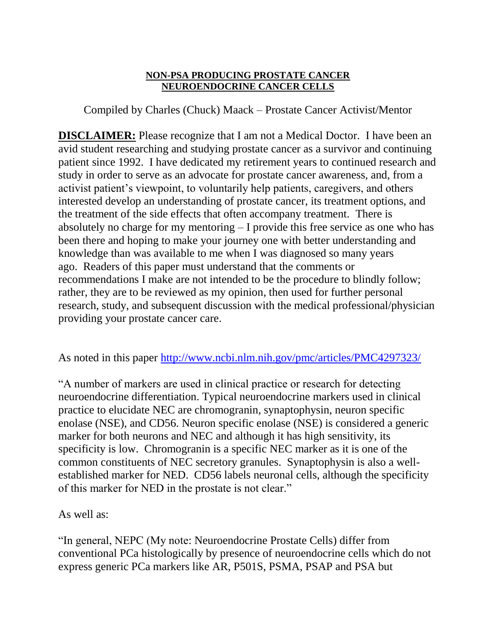## **NON-PSA PRODUCING PROSTATE CANCER NEUROENDOCRINE CANCER CELLS**

Compiled by Charles (Chuck) Maack – Prostate Cancer Activist/Mentor

**DISCLAIMER:** Please recognize that I am not a Medical Doctor. I have been an avid student researching and studying prostate cancer as a survivor and continuing patient since 1992. I have dedicated my retirement years to continued research and study in order to serve as an advocate for prostate cancer awareness, and, from a activist patient's viewpoint, to voluntarily help patients, caregivers, and others interested develop an understanding of prostate cancer, its treatment options, and the treatment of the side effects that often accompany treatment. There is absolutely no charge for my mentoring – I provide this free service as one who has been there and hoping to make your journey one with better understanding and knowledge than was available to me when I was diagnosed so many years ago. Readers of this paper must understand that the comments or recommendations I make are not intended to be the procedure to blindly follow; rather, they are to be reviewed as my opinion, then used for further personal research, study, and subsequent discussion with the medical professional/physician providing your prostate cancer care.

As noted in this paper<http://www.ncbi.nlm.nih.gov/pmc/articles/PMC4297323/>

"A number of markers are used in clinical practice or research for detecting neuroendocrine differentiation. Typical neuroendocrine markers used in clinical practice to elucidate NEC are chromogranin, synaptophysin, neuron specific enolase (NSE), and CD56. Neuron specific enolase (NSE) is considered a generic marker for both neurons and NEC and although it has high sensitivity, its specificity is low. Chromogranin is a specific NEC marker as it is one of the common constituents of NEC secretory granules. Synaptophysin is also a wellestablished marker for NED. CD56 labels neuronal cells, although the specificity of this marker for NED in the prostate is not clear."

As well as:

"In general, NEPC (My note: Neuroendocrine Prostate Cells) differ from conventional PCa histologically by presence of neuroendocrine cells which do not express generic PCa markers like AR, P501S, PSMA, PSAP and PSA but